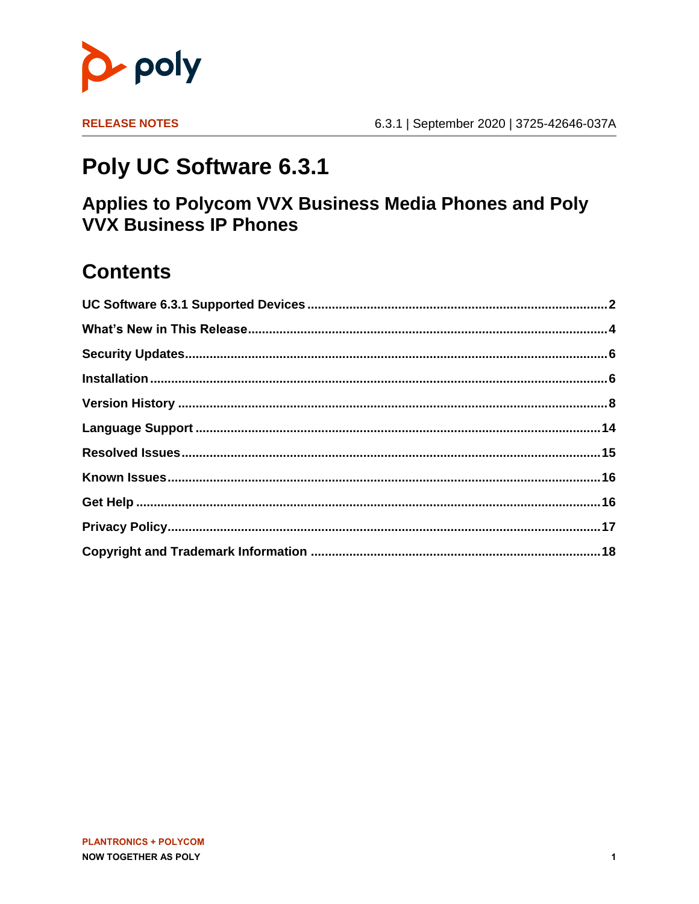

**RELEASE NOTES** 

# Poly UC Software 6.3.1

### Applies to Polycom VVX Business Media Phones and Poly **VVX Business IP Phones**

### **Contents**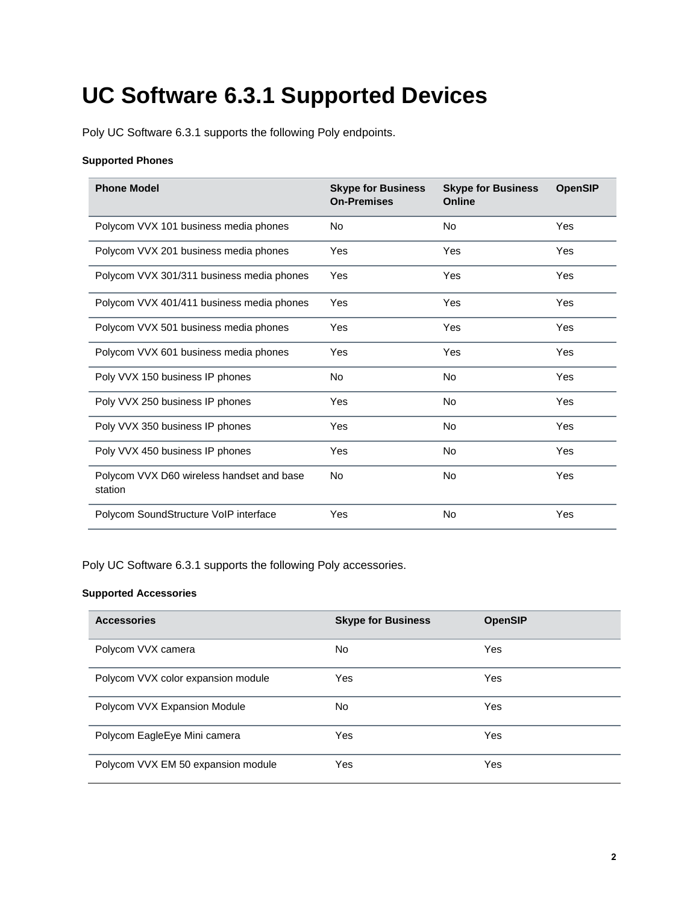# <span id="page-1-0"></span>**UC Software 6.3.1 Supported Devices**

Poly UC Software 6.3.1 supports the following Poly endpoints.

#### **Supported Phones**

| <b>Phone Model</b>                                   | <b>Skype for Business</b><br><b>On-Premises</b> | <b>Skype for Business</b><br>Online | <b>OpenSIP</b> |
|------------------------------------------------------|-------------------------------------------------|-------------------------------------|----------------|
| Polycom VVX 101 business media phones                | No                                              | No                                  | Yes            |
| Polycom VVX 201 business media phones                | Yes                                             | Yes                                 | Yes            |
| Polycom VVX 301/311 business media phones            | Yes                                             | Yes                                 | Yes            |
| Polycom VVX 401/411 business media phones            | Yes                                             | Yes                                 | Yes            |
| Polycom VVX 501 business media phones                | Yes                                             | Yes                                 | Yes            |
| Polycom VVX 601 business media phones                | Yes                                             | Yes                                 | Yes            |
| Poly VVX 150 business IP phones                      | No                                              | No                                  | Yes            |
| Poly VVX 250 business IP phones                      | Yes                                             | <b>No</b>                           | Yes            |
| Poly VVX 350 business IP phones                      | Yes                                             | No                                  | Yes            |
| Poly VVX 450 business IP phones                      | Yes                                             | No                                  | Yes            |
| Polycom VVX D60 wireless handset and base<br>station | No                                              | No                                  | Yes            |
| Polycom SoundStructure VoIP interface                | Yes                                             | No                                  | Yes            |

Poly UC Software 6.3.1 supports the following Poly accessories.

#### **Supported Accessories**

| <b>Accessories</b>                 | <b>Skype for Business</b> | <b>OpenSIP</b> |
|------------------------------------|---------------------------|----------------|
| Polycom VVX camera                 | No.                       | Yes            |
| Polycom VVX color expansion module | Yes                       | <b>Yes</b>     |
| Polycom VVX Expansion Module       | No.                       | <b>Yes</b>     |
| Polycom EagleEye Mini camera       | Yes                       | Yes            |
| Polycom VVX EM 50 expansion module | Yes                       | Yes            |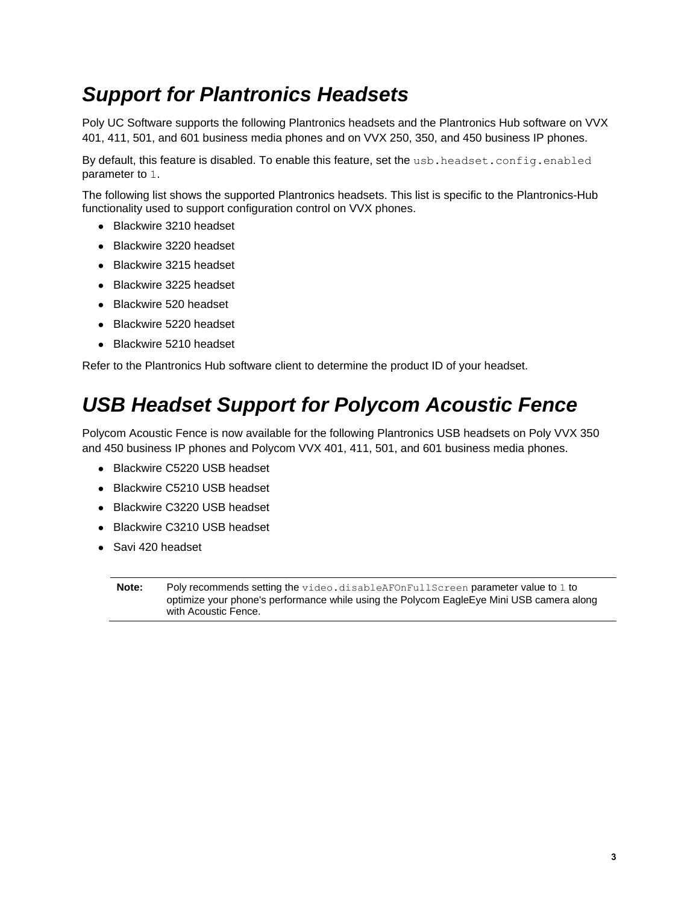### *Support for Plantronics Headsets*

Poly UC Software supports the following Plantronics headsets and the Plantronics Hub software on VVX 401, 411, 501, and 601 business media phones and on VVX 250, 350, and 450 business IP phones.

By default, this feature is disabled. To enable this feature, set the usb.headset.config.enabled parameter to 1.

The following list shows the supported Plantronics headsets. This list is specific to the Plantronics-Hub functionality used to support configuration control on VVX phones.

- Blackwire 3210 headset
- Blackwire 3220 headset
- Blackwire 3215 headset
- Blackwire 3225 headset
- Blackwire 520 headset
- Blackwire 5220 headset
- Blackwire 5210 headset

Refer to the Plantronics Hub software client to determine the product ID of your headset.

### *USB Headset Support for Polycom Acoustic Fence*

Polycom Acoustic Fence is now available for the following Plantronics USB headsets on Poly VVX 350 and 450 business IP phones and Polycom VVX 401, 411, 501, and 601 business media phones.

- Blackwire C5220 USB headset
- Blackwire C5210 USB headset
- Blackwire C3220 USB headset
- Blackwire C3210 USB headset
- Savi 420 headset

**Note:** Poly recommends setting the video.disableAFOnFullScreen parameter value to 1 to optimize your phone's performance while using the Polycom EagleEye Mini USB camera along with Acoustic Fence.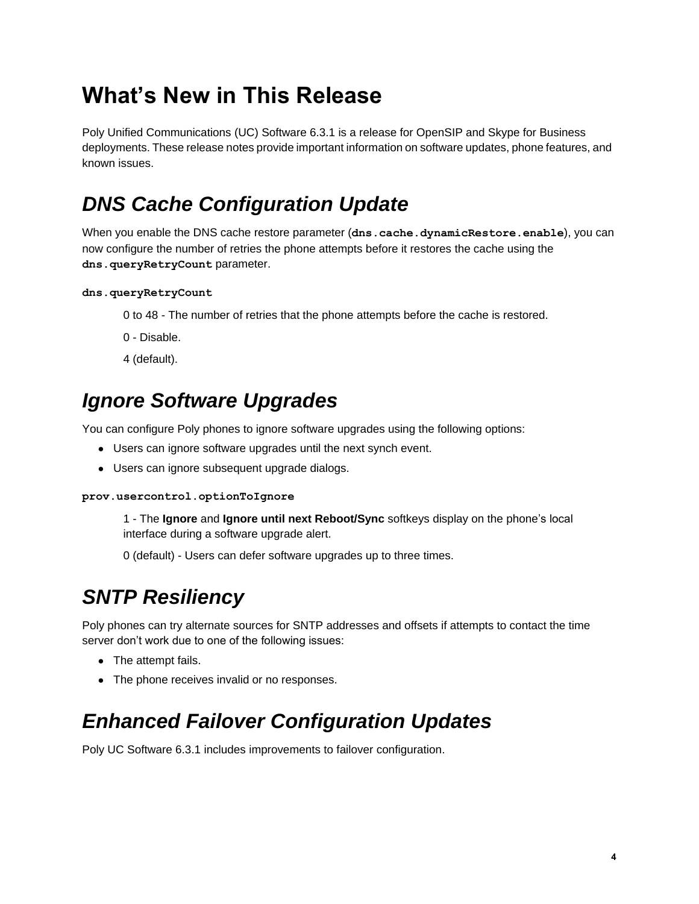# <span id="page-3-0"></span>**What's New in This Release**

Poly Unified Communications (UC) Software 6.3.1 is a release for OpenSIP and Skype for Business deployments. These release notes provide important information on software updates, phone features, and known issues.

# *DNS Cache Configuration Update*

When you enable the DNS cache restore parameter (dns.cache.dynamicRestore.enable), you can now configure the number of retries the phone attempts before it restores the cache using the **dns.queryRetryCount** parameter.

#### **dns.queryRetryCount**

- 0 to 48 The number of retries that the phone attempts before the cache is restored.
- 0 Disable.
- 4 (default).

### *Ignore Software Upgrades*

You can configure Poly phones to ignore software upgrades using the following options:

- Users can ignore software upgrades until the next synch event.
- Users can ignore subsequent upgrade dialogs.

#### **prov.usercontrol.optionToIgnore**

1 - The **Ignore** and **Ignore until next Reboot/Sync** softkeys display on the phone's local interface during a software upgrade alert.

0 (default) - Users can defer software upgrades up to three times.

## *SNTP Resiliency*

Poly phones can try alternate sources for SNTP addresses and offsets if attempts to contact the time server don't work due to one of the following issues:

- The attempt fails.
- The phone receives invalid or no responses.

## *Enhanced Failover Configuration Updates*

Poly UC Software 6.3.1 includes improvements to failover configuration.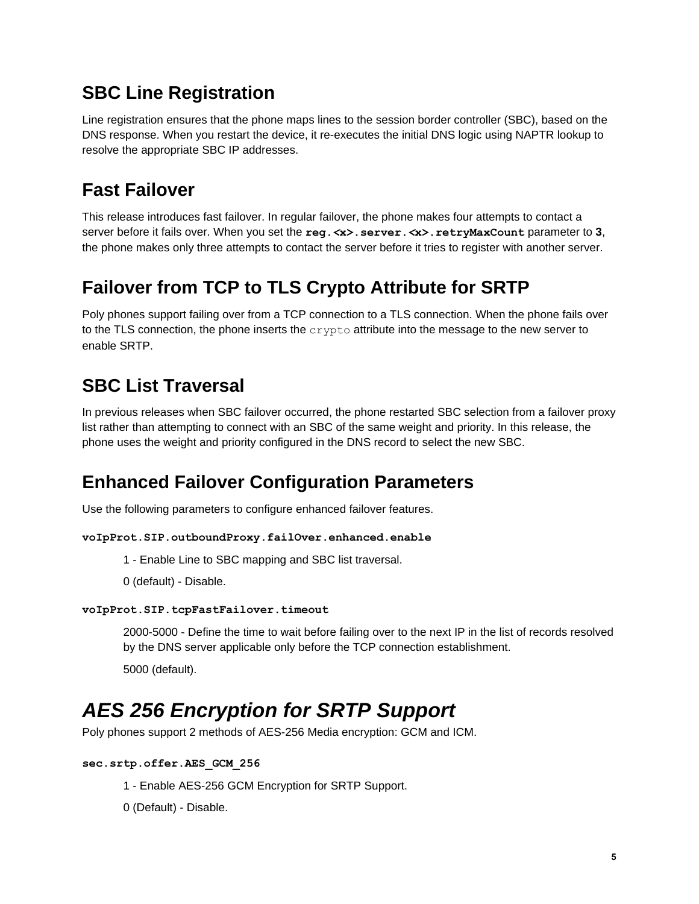### **SBC Line Registration**

Line registration ensures that the phone maps lines to the session border controller (SBC), based on the DNS response. When you restart the device, it re-executes the initial DNS logic using NAPTR lookup to resolve the appropriate SBC IP addresses.

### **Fast Failover**

This release introduces fast failover. In regular failover, the phone makes four attempts to contact a server before it fails over. When you set the **reg.***<***x>.server.***<***x>.retryMaxCount** parameter to **3**, the phone makes only three attempts to contact the server before it tries to register with another server.

### **Failover from TCP to TLS Crypto Attribute for SRTP**

Poly phones support failing over from a TCP connection to a TLS connection. When the phone fails over to the TLS connection, the phone inserts the  $c$ rypto attribute into the message to the new server to enable SRTP.

### **SBC List Traversal**

In previous releases when SBC failover occurred, the phone restarted SBC selection from a failover proxy list rather than attempting to connect with an SBC of the same weight and priority. In this release, the phone uses the weight and priority configured in the DNS record to select the new SBC.

### **Enhanced Failover Configuration Parameters**

Use the following parameters to configure enhanced failover features.

#### **voIpProt.SIP.outboundProxy.failOver.enhanced.enable**

- 1 Enable Line to SBC mapping and SBC list traversal.
- 0 (default) Disable.

#### **voIpProt.SIP.tcpFastFailover.timeout**

2000-5000 - Define the time to wait before failing over to the next IP in the list of records resolved by the DNS server applicable only before the TCP connection establishment.

5000 (default).

## *AES 256 Encryption for SRTP Support*

Poly phones support 2 methods of AES-256 Media encryption: GCM and ICM.

#### **sec.srtp.offer.AES\_GCM\_256**

- 1 Enable AES-256 GCM Encryption for SRTP Support.
- 0 (Default) Disable.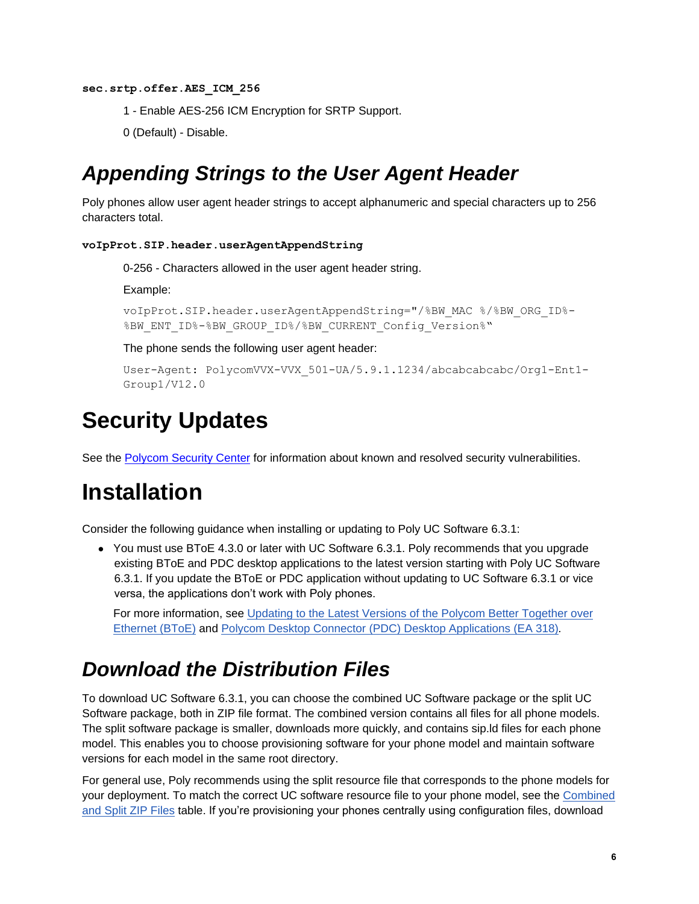#### **sec.srtp.offer.AES\_ICM\_256**

- 1 Enable AES-256 ICM Encryption for SRTP Support.
- 0 (Default) Disable.

### *Appending Strings to the User Agent Header*

Poly phones allow user agent header strings to accept alphanumeric and special characters up to 256 characters total.

#### **voIpProt.SIP.header.userAgentAppendString**

0-256 - Characters allowed in the user agent header string.

Example:

```
voIpProt.SIP.header.userAgentAppendString="/%BW_MAC %/%BW_ORG_ID%-
%BW_ENT_ID%-%BW_GROUP_ID%/%BW_CURRENT_Config_Version%"
```
The phone sends the following user agent header:

```
User-Agent: PolycomVVX-VVX_501-UA/5.9.1.1234/abcabcabcabc/Org1-Ent1-
Group1/V12.0
```
## <span id="page-5-0"></span>**Security Updates**

<span id="page-5-1"></span>See the [Polycom Security Center](https://support.polycom.com/content/support/security-center.html) for information about known and resolved security vulnerabilities.

## **Installation**

Consider the following guidance when installing or updating to Poly UC Software 6.3.1:

● You must use BToE 4.3.0 or later with UC Software 6.3.1. Poly recommends that you upgrade existing BToE and PDC desktop applications to the latest version starting with Poly UC Software 6.3.1. If you update the BToE or PDC application without updating to UC Software 6.3.1 or vice versa, the applications don't work with Poly phones.

For more information, see Updating to the Latest Versions of the Polycom Better Together over Ethernet (BToE) and [Polycom Desktop Connector \(PDC\) Desktop Applications \(EA 318\)](https://support.polycom.com/content/dam/polycom-support/products/voice/polycom-uc/other-documents/en/2018/bote-pdc-application-upgrade-ea318.pdf)*.*

### *Download the Distribution Files*

To download UC Software 6.3.1, you can choose the combined UC Software package or the split UC Software package, both in ZIP file format. The combined version contains all files for all phone models. The split software package is smaller, downloads more quickly, and contains sip.ld files for each phone model. This enables you to choose provisioning software for your phone model and maintain software versions for each model in the same root directory.

For general use, Poly recommends using the split resource file that corresponds to the phone models for your deployment. To match the correct UC software resource file to your phone model, see the [Combined](#page-6-0)  [and Split ZIP Files](#page-6-0) table. If you're provisioning your phones centrally using configuration files, download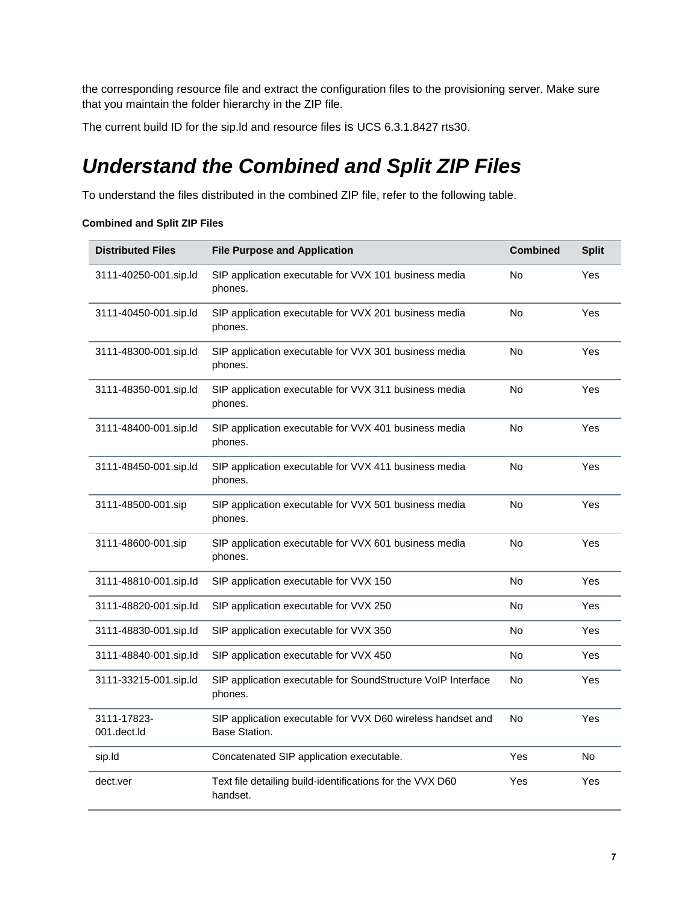the corresponding resource file and extract the configuration files to the provisioning server. Make sure that you maintain the folder hierarchy in the ZIP file.

<span id="page-6-0"></span>The current build ID for the sip.ld and resource files is UCS 6.3.1.8427 rts30.

## *Understand the Combined and Split ZIP Files*

To understand the files distributed in the combined ZIP file, refer to the following table.

#### **Combined and Split ZIP Files**

| <b>Distributed Files</b>   | <b>File Purpose and Application</b>                                          | <b>Combined</b> | <b>Split</b> |
|----------------------------|------------------------------------------------------------------------------|-----------------|--------------|
| 3111-40250-001.sip.ld      | SIP application executable for VVX 101 business media<br>phones.             | No              | Yes          |
| 3111-40450-001.sip.ld      | SIP application executable for VVX 201 business media<br>phones.             | No              | Yes          |
| 3111-48300-001.sip.ld      | SIP application executable for VVX 301 business media<br>phones.             | No              | Yes          |
| 3111-48350-001.sip.ld      | SIP application executable for VVX 311 business media<br>phones.             | No              | Yes          |
| 3111-48400-001.sip.ld      | SIP application executable for VVX 401 business media<br>phones.             | <b>No</b>       | Yes          |
| 3111-48450-001.sip.ld      | SIP application executable for VVX 411 business media<br>phones.             | <b>No</b>       | Yes          |
| 3111-48500-001.sip         | SIP application executable for VVX 501 business media<br>phones.             | <b>No</b>       | Yes          |
| 3111-48600-001.sip         | SIP application executable for VVX 601 business media<br>phones.             | No              | Yes          |
| 3111-48810-001.sip.Id      | SIP application executable for VVX 150                                       | No              | Yes          |
| 3111-48820-001.sip.Id      | SIP application executable for VVX 250                                       | No              | Yes          |
| 3111-48830-001.sip.Id      | SIP application executable for VVX 350                                       | No              | Yes          |
| 3111-48840-001.sip.Id      | SIP application executable for VVX 450                                       | No              | Yes          |
| 3111-33215-001.sip.ld      | SIP application executable for SoundStructure VoIP Interface<br>phones.      | No              | Yes          |
| 3111-17823-<br>001.dect.ld | SIP application executable for VVX D60 wireless handset and<br>Base Station. | No              | Yes          |
| sip.ld                     | Concatenated SIP application executable.                                     | Yes             | No           |
| dect.ver                   | Text file detailing build-identifications for the VVX D60<br>handset.        | Yes             | Yes          |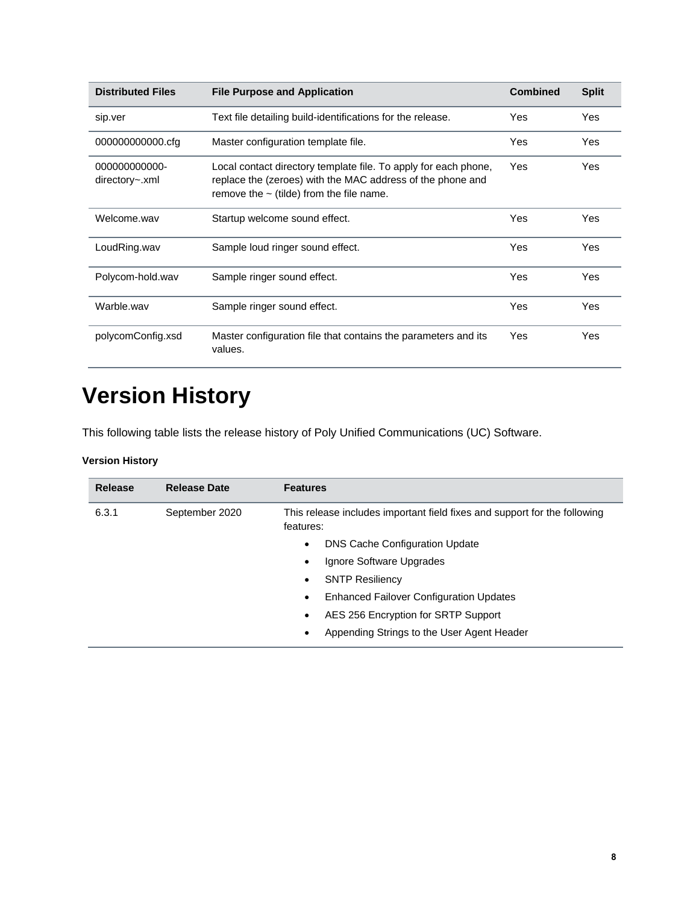| <b>Distributed Files</b>        | <b>File Purpose and Application</b>                                                                                                                                            | <b>Combined</b> | <b>Split</b> |
|---------------------------------|--------------------------------------------------------------------------------------------------------------------------------------------------------------------------------|-----------------|--------------|
| sip.ver                         | Text file detailing build-identifications for the release.                                                                                                                     | Yes             | Yes          |
| 000000000000.cfg                | Master configuration template file.                                                                                                                                            | Yes             | Yes          |
| 000000000000-<br>directory~.xml | Local contact directory template file. To apply for each phone,<br>replace the (zeroes) with the MAC address of the phone and<br>remove the $\sim$ (tilde) from the file name. | Yes             | Yes          |
| Welcome.way                     | Startup welcome sound effect.                                                                                                                                                  | Yes             | Yes          |
| LoudRing.wav                    | Sample loud ringer sound effect.                                                                                                                                               | Yes             | Yes          |
| Polycom-hold.wav                | Sample ringer sound effect.                                                                                                                                                    | Yes             | Yes          |
| Warble.wav                      | Sample ringer sound effect.                                                                                                                                                    | Yes             | Yes          |
| polycomConfig.xsd               | Master configuration file that contains the parameters and its<br>values.                                                                                                      | Yes             | Yes          |

# <span id="page-7-0"></span>**Version History**

This following table lists the release history of Poly Unified Communications (UC) Software.

#### **Version History**

| <b>Release</b> | <b>Release Date</b> | <b>Features</b>                                                                        |
|----------------|---------------------|----------------------------------------------------------------------------------------|
| 6.3.1          | September 2020      | This release includes important field fixes and support for the following<br>features: |
|                |                     | <b>DNS Cache Configuration Update</b><br>$\bullet$                                     |
|                |                     | Ignore Software Upgrades<br>٠                                                          |
|                |                     | <b>SNTP Resiliency</b><br>$\bullet$                                                    |
|                |                     | <b>Enhanced Failover Configuration Updates</b><br>$\bullet$                            |
|                |                     | AES 256 Encryption for SRTP Support<br>$\bullet$                                       |
|                |                     | Appending Strings to the User Agent Header<br>٠                                        |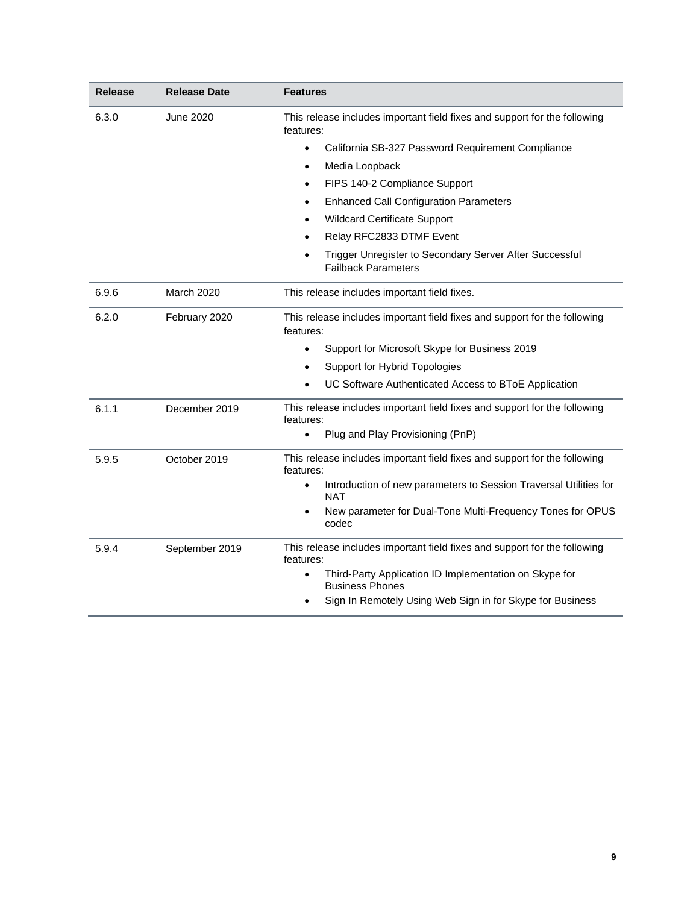| <b>Release</b> | <b>Release Date</b> | <b>Features</b>                                                                        |
|----------------|---------------------|----------------------------------------------------------------------------------------|
| 6.3.0          | June 2020           | This release includes important field fixes and support for the following<br>features: |
|                |                     | California SB-327 Password Requirement Compliance<br>$\bullet$                         |
|                |                     | Media Loopback<br>$\bullet$                                                            |
|                |                     | FIPS 140-2 Compliance Support<br>$\bullet$                                             |
|                |                     | <b>Enhanced Call Configuration Parameters</b>                                          |
|                |                     | <b>Wildcard Certificate Support</b>                                                    |
|                |                     | Relay RFC2833 DTMF Event                                                               |
|                |                     | Trigger Unregister to Secondary Server After Successful<br><b>Failback Parameters</b>  |
| 6.9.6          | March 2020          | This release includes important field fixes.                                           |
| 6.2.0          | February 2020       | This release includes important field fixes and support for the following<br>features: |
|                |                     | Support for Microsoft Skype for Business 2019<br>$\bullet$                             |
|                |                     | Support for Hybrid Topologies                                                          |
|                |                     | UC Software Authenticated Access to BToE Application                                   |
| 6.1.1          | December 2019       | This release includes important field fixes and support for the following<br>features: |
|                |                     | Plug and Play Provisioning (PnP)                                                       |
| 5.9.5          | October 2019        | This release includes important field fixes and support for the following<br>features: |
|                |                     | Introduction of new parameters to Session Traversal Utilities for<br><b>NAT</b>        |
|                |                     | New parameter for Dual-Tone Multi-Frequency Tones for OPUS<br>codec                    |
| 5.9.4          | September 2019      | This release includes important field fixes and support for the following<br>features: |
|                |                     | Third-Party Application ID Implementation on Skype for<br><b>Business Phones</b>       |
|                |                     | Sign In Remotely Using Web Sign in for Skype for Business                              |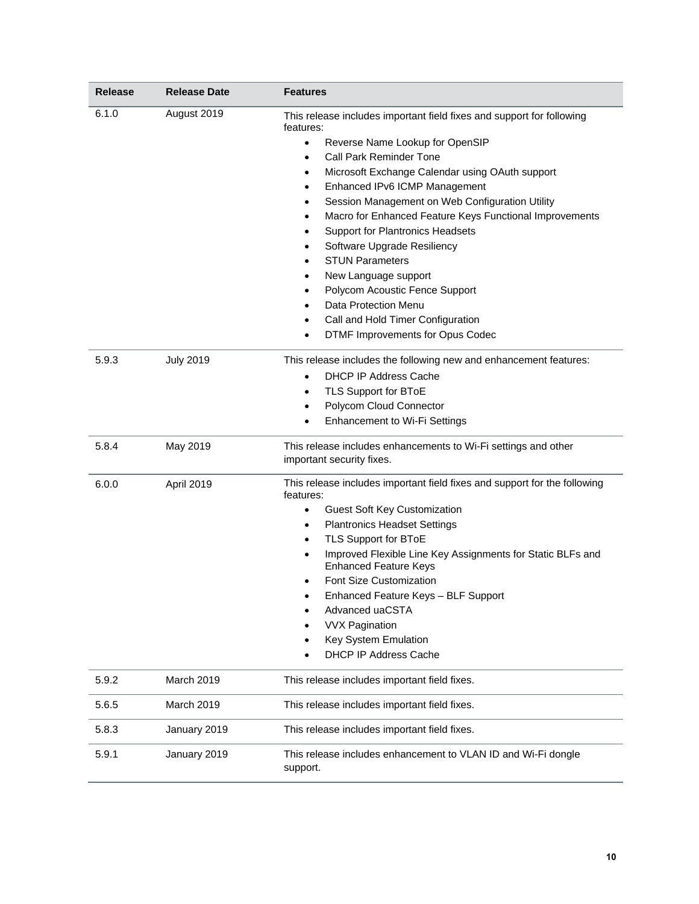| <b>Release</b> | <b>Release Date</b> | <b>Features</b>                                                                                                                                                                                                                                                                                                                                                                                                                                                                                                                                                                                                                                                             |
|----------------|---------------------|-----------------------------------------------------------------------------------------------------------------------------------------------------------------------------------------------------------------------------------------------------------------------------------------------------------------------------------------------------------------------------------------------------------------------------------------------------------------------------------------------------------------------------------------------------------------------------------------------------------------------------------------------------------------------------|
| 6.1.0          | August 2019         | This release includes important field fixes and support for following<br>features:<br>Reverse Name Lookup for OpenSIP<br>$\bullet$<br><b>Call Park Reminder Tone</b><br>Microsoft Exchange Calendar using OAuth support<br>٠<br>Enhanced IPv6 ICMP Management<br>Session Management on Web Configuration Utility<br>٠<br>Macro for Enhanced Feature Keys Functional Improvements<br>$\bullet$<br><b>Support for Plantronics Headsets</b><br>Software Upgrade Resiliency<br><b>STUN Parameters</b><br>٠<br>New Language support<br>٠<br>Polycom Acoustic Fence Support<br>٠<br>Data Protection Menu<br>Call and Hold Timer Configuration<br>DTMF Improvements for Opus Codec |
| 5.9.3          | <b>July 2019</b>    | This release includes the following new and enhancement features:<br><b>DHCP IP Address Cache</b><br>TLS Support for BToE<br>$\bullet$<br>Polycom Cloud Connector<br>Enhancement to Wi-Fi Settings<br>$\bullet$                                                                                                                                                                                                                                                                                                                                                                                                                                                             |
| 5.8.4          | May 2019            | This release includes enhancements to Wi-Fi settings and other<br>important security fixes.                                                                                                                                                                                                                                                                                                                                                                                                                                                                                                                                                                                 |
| 6.0.0          | April 2019          | This release includes important field fixes and support for the following<br>features:<br>Guest Soft Key Customization<br>$\bullet$<br><b>Plantronics Headset Settings</b><br>$\bullet$<br>TLS Support for BToE<br>Improved Flexible Line Key Assignments for Static BLFs and<br><b>Enhanced Feature Keys</b><br>Font Size Customization<br>Enhanced Feature Keys - BLF Support<br>Advanced uaCSTA<br><b>VVX Pagination</b><br>Key System Emulation<br><b>DHCP IP Address Cache</b>                                                                                                                                                                                         |
| 5.9.2          | March 2019          | This release includes important field fixes.                                                                                                                                                                                                                                                                                                                                                                                                                                                                                                                                                                                                                                |
| 5.6.5          | March 2019          | This release includes important field fixes.                                                                                                                                                                                                                                                                                                                                                                                                                                                                                                                                                                                                                                |
| 5.8.3          | January 2019        | This release includes important field fixes.                                                                                                                                                                                                                                                                                                                                                                                                                                                                                                                                                                                                                                |
| 5.9.1          | January 2019        | This release includes enhancement to VLAN ID and Wi-Fi dongle<br>support.                                                                                                                                                                                                                                                                                                                                                                                                                                                                                                                                                                                                   |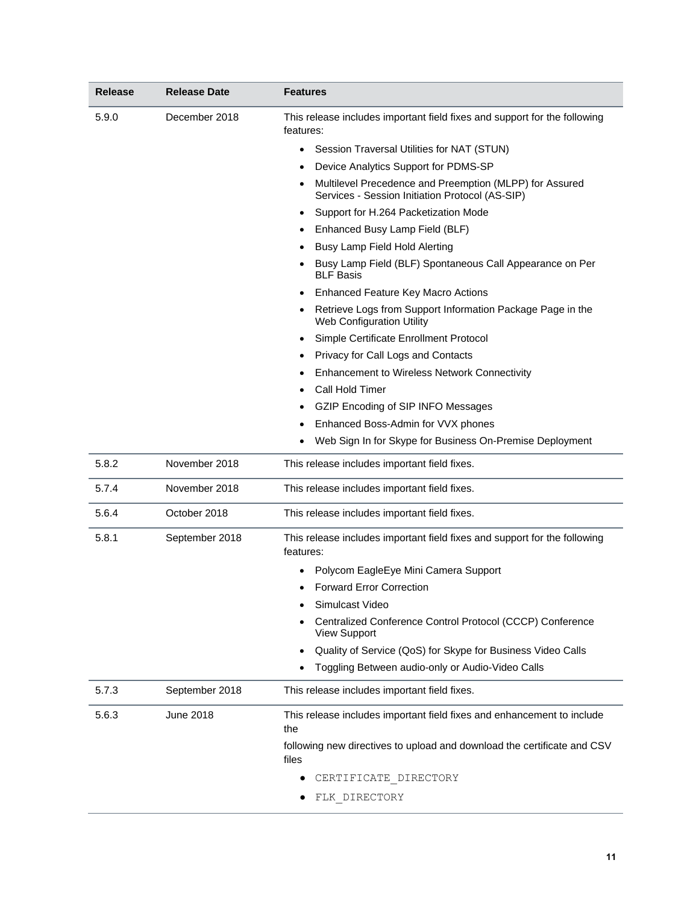| <b>Release</b> | <b>Release Date</b> | <b>Features</b>                                                                                            |
|----------------|---------------------|------------------------------------------------------------------------------------------------------------|
| 5.9.0          | December 2018       | This release includes important field fixes and support for the following<br>features:                     |
|                |                     | Session Traversal Utilities for NAT (STUN)<br>$\bullet$                                                    |
|                |                     | Device Analytics Support for PDMS-SP                                                                       |
|                |                     | Multilevel Precedence and Preemption (MLPP) for Assured<br>Services - Session Initiation Protocol (AS-SIP) |
|                |                     | Support for H.264 Packetization Mode                                                                       |
|                |                     | Enhanced Busy Lamp Field (BLF)                                                                             |
|                |                     | Busy Lamp Field Hold Alerting                                                                              |
|                |                     | Busy Lamp Field (BLF) Spontaneous Call Appearance on Per<br><b>BLF Basis</b>                               |
|                |                     | <b>Enhanced Feature Key Macro Actions</b>                                                                  |
|                |                     | Retrieve Logs from Support Information Package Page in the<br>Web Configuration Utility                    |
|                |                     | Simple Certificate Enrollment Protocol                                                                     |
|                |                     | Privacy for Call Logs and Contacts                                                                         |
|                |                     | Enhancement to Wireless Network Connectivity                                                               |
|                |                     | Call Hold Timer                                                                                            |
|                |                     | GZIP Encoding of SIP INFO Messages                                                                         |
|                |                     | Enhanced Boss-Admin for VVX phones                                                                         |
|                |                     | Web Sign In for Skype for Business On-Premise Deployment                                                   |
| 5.8.2          | November 2018       | This release includes important field fixes.                                                               |
| 5.7.4          | November 2018       | This release includes important field fixes.                                                               |
| 5.6.4          | October 2018        | This release includes important field fixes.                                                               |
| 5.8.1          | September 2018      | This release includes important field fixes and support for the following<br>features:                     |
|                |                     | Polycom EagleEye Mini Camera Support                                                                       |
|                |                     | <b>Forward Error Correction</b>                                                                            |
|                |                     | Simulcast Video                                                                                            |
|                |                     | Centralized Conference Control Protocol (CCCP) Conference<br><b>View Support</b>                           |
|                |                     | Quality of Service (QoS) for Skype for Business Video Calls                                                |
|                |                     | Toggling Between audio-only or Audio-Video Calls                                                           |
| 5.7.3          | September 2018      | This release includes important field fixes.                                                               |
| 5.6.3          | <b>June 2018</b>    | This release includes important field fixes and enhancement to include<br>the                              |
|                |                     | following new directives to upload and download the certificate and CSV<br>files                           |
|                |                     | CERTIFICATE DIRECTORY                                                                                      |
|                |                     | FLK DIRECTORY                                                                                              |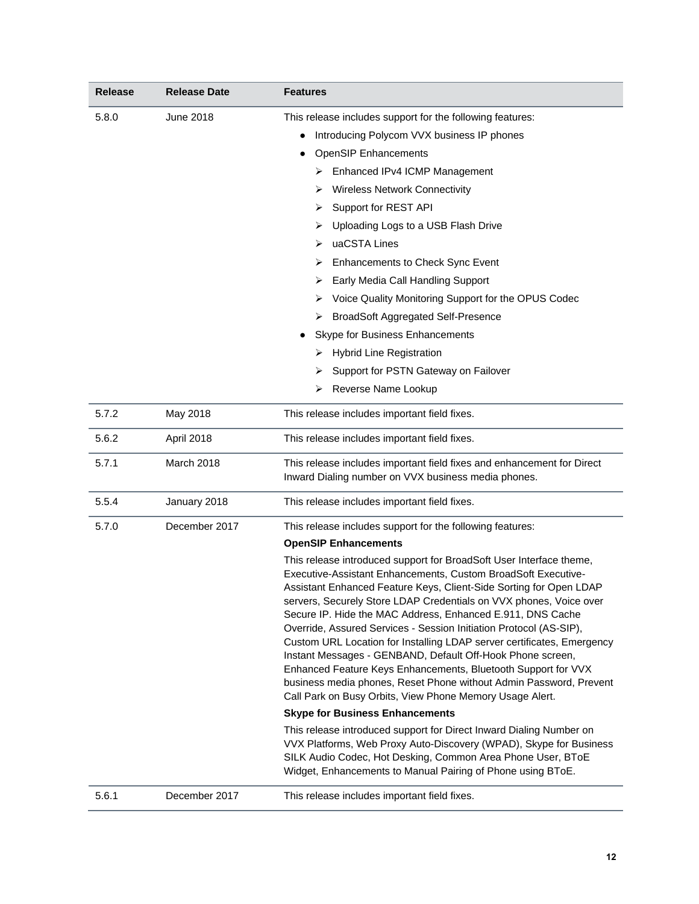| <b>Release</b> | <b>Release Date</b> | <b>Features</b>                                                                                                                                                                                                                                                                                                                                                                                                                                                                                                                                                                                                                                                                                                                                                 |
|----------------|---------------------|-----------------------------------------------------------------------------------------------------------------------------------------------------------------------------------------------------------------------------------------------------------------------------------------------------------------------------------------------------------------------------------------------------------------------------------------------------------------------------------------------------------------------------------------------------------------------------------------------------------------------------------------------------------------------------------------------------------------------------------------------------------------|
| 5.8.0          | <b>June 2018</b>    | This release includes support for the following features:                                                                                                                                                                                                                                                                                                                                                                                                                                                                                                                                                                                                                                                                                                       |
|                |                     | Introducing Polycom VVX business IP phones                                                                                                                                                                                                                                                                                                                                                                                                                                                                                                                                                                                                                                                                                                                      |
|                |                     | <b>OpenSIP Enhancements</b>                                                                                                                                                                                                                                                                                                                                                                                                                                                                                                                                                                                                                                                                                                                                     |
|                |                     | Enhanced IPv4 ICMP Management<br>➤                                                                                                                                                                                                                                                                                                                                                                                                                                                                                                                                                                                                                                                                                                                              |
|                |                     | <b>Wireless Network Connectivity</b><br>➤                                                                                                                                                                                                                                                                                                                                                                                                                                                                                                                                                                                                                                                                                                                       |
|                |                     | Support for REST API<br>➤                                                                                                                                                                                                                                                                                                                                                                                                                                                                                                                                                                                                                                                                                                                                       |
|                |                     | Uploading Logs to a USB Flash Drive<br>➤                                                                                                                                                                                                                                                                                                                                                                                                                                                                                                                                                                                                                                                                                                                        |
|                |                     | uaCSTA Lines<br>⋗                                                                                                                                                                                                                                                                                                                                                                                                                                                                                                                                                                                                                                                                                                                                               |
|                |                     | <b>Enhancements to Check Sync Event</b><br>➤                                                                                                                                                                                                                                                                                                                                                                                                                                                                                                                                                                                                                                                                                                                    |
|                |                     | Early Media Call Handling Support<br>➤                                                                                                                                                                                                                                                                                                                                                                                                                                                                                                                                                                                                                                                                                                                          |
|                |                     | Voice Quality Monitoring Support for the OPUS Codec<br>➤                                                                                                                                                                                                                                                                                                                                                                                                                                                                                                                                                                                                                                                                                                        |
|                |                     | <b>BroadSoft Aggregated Self-Presence</b><br>➤                                                                                                                                                                                                                                                                                                                                                                                                                                                                                                                                                                                                                                                                                                                  |
|                |                     | Skype for Business Enhancements                                                                                                                                                                                                                                                                                                                                                                                                                                                                                                                                                                                                                                                                                                                                 |
|                |                     | <b>Hybrid Line Registration</b><br>➤                                                                                                                                                                                                                                                                                                                                                                                                                                                                                                                                                                                                                                                                                                                            |
|                |                     | Support for PSTN Gateway on Failover<br>➤                                                                                                                                                                                                                                                                                                                                                                                                                                                                                                                                                                                                                                                                                                                       |
|                |                     | Reverse Name Lookup<br>⋗                                                                                                                                                                                                                                                                                                                                                                                                                                                                                                                                                                                                                                                                                                                                        |
| 5.7.2          | May 2018            | This release includes important field fixes.                                                                                                                                                                                                                                                                                                                                                                                                                                                                                                                                                                                                                                                                                                                    |
| 5.6.2          | April 2018          | This release includes important field fixes.                                                                                                                                                                                                                                                                                                                                                                                                                                                                                                                                                                                                                                                                                                                    |
| 5.7.1          | March 2018          | This release includes important field fixes and enhancement for Direct<br>Inward Dialing number on VVX business media phones.                                                                                                                                                                                                                                                                                                                                                                                                                                                                                                                                                                                                                                   |
| 5.5.4          | January 2018        | This release includes important field fixes.                                                                                                                                                                                                                                                                                                                                                                                                                                                                                                                                                                                                                                                                                                                    |
| 5.7.0          | December 2017       | This release includes support for the following features:                                                                                                                                                                                                                                                                                                                                                                                                                                                                                                                                                                                                                                                                                                       |
|                |                     | <b>OpenSIP Enhancements</b>                                                                                                                                                                                                                                                                                                                                                                                                                                                                                                                                                                                                                                                                                                                                     |
|                |                     | This release introduced support for BroadSoft User Interface theme,<br>Executive-Assistant Enhancements, Custom BroadSoft Executive-<br>Assistant Enhanced Feature Keys, Client-Side Sorting for Open LDAP<br>servers, Securely Store LDAP Credentials on VVX phones, Voice over<br>Secure IP. Hide the MAC Address, Enhanced E.911, DNS Cache<br>Override, Assured Services - Session Initiation Protocol (AS-SIP),<br>Custom URL Location for Installing LDAP server certificates, Emergency<br>Instant Messages - GENBAND, Default Off-Hook Phone screen,<br>Enhanced Feature Keys Enhancements, Bluetooth Support for VVX<br>business media phones, Reset Phone without Admin Password, Prevent<br>Call Park on Busy Orbits, View Phone Memory Usage Alert. |
|                |                     | <b>Skype for Business Enhancements</b>                                                                                                                                                                                                                                                                                                                                                                                                                                                                                                                                                                                                                                                                                                                          |
|                |                     | This release introduced support for Direct Inward Dialing Number on<br>VVX Platforms, Web Proxy Auto-Discovery (WPAD), Skype for Business<br>SILK Audio Codec, Hot Desking, Common Area Phone User, BToE<br>Widget, Enhancements to Manual Pairing of Phone using BToE.                                                                                                                                                                                                                                                                                                                                                                                                                                                                                         |
| 5.6.1          | December 2017       | This release includes important field fixes.                                                                                                                                                                                                                                                                                                                                                                                                                                                                                                                                                                                                                                                                                                                    |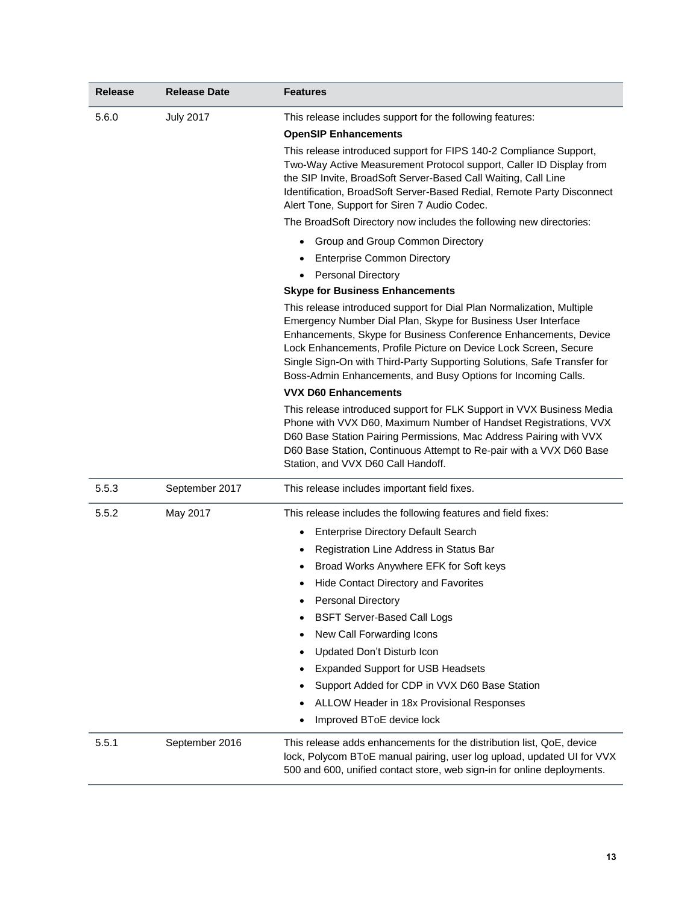| <b>Release</b> | <b>Release Date</b> | <b>Features</b>                                                                                                                                                                                                                                                                                                                                                                                                            |
|----------------|---------------------|----------------------------------------------------------------------------------------------------------------------------------------------------------------------------------------------------------------------------------------------------------------------------------------------------------------------------------------------------------------------------------------------------------------------------|
| 5.6.0          | <b>July 2017</b>    | This release includes support for the following features:<br><b>OpenSIP Enhancements</b>                                                                                                                                                                                                                                                                                                                                   |
|                |                     | This release introduced support for FIPS 140-2 Compliance Support,<br>Two-Way Active Measurement Protocol support, Caller ID Display from<br>the SIP Invite, BroadSoft Server-Based Call Waiting, Call Line<br>Identification, BroadSoft Server-Based Redial, Remote Party Disconnect<br>Alert Tone, Support for Siren 7 Audio Codec.                                                                                      |
|                |                     | The BroadSoft Directory now includes the following new directories:                                                                                                                                                                                                                                                                                                                                                        |
|                |                     | • Group and Group Common Directory                                                                                                                                                                                                                                                                                                                                                                                         |
|                |                     | <b>Enterprise Common Directory</b>                                                                                                                                                                                                                                                                                                                                                                                         |
|                |                     | <b>Personal Directory</b><br>$\bullet$                                                                                                                                                                                                                                                                                                                                                                                     |
|                |                     | <b>Skype for Business Enhancements</b>                                                                                                                                                                                                                                                                                                                                                                                     |
|                |                     | This release introduced support for Dial Plan Normalization, Multiple<br>Emergency Number Dial Plan, Skype for Business User Interface<br>Enhancements, Skype for Business Conference Enhancements, Device<br>Lock Enhancements, Profile Picture on Device Lock Screen, Secure<br>Single Sign-On with Third-Party Supporting Solutions, Safe Transfer for<br>Boss-Admin Enhancements, and Busy Options for Incoming Calls. |
|                |                     | <b>VVX D60 Enhancements</b>                                                                                                                                                                                                                                                                                                                                                                                                |
|                |                     | This release introduced support for FLK Support in VVX Business Media<br>Phone with VVX D60, Maximum Number of Handset Registrations, VVX<br>D60 Base Station Pairing Permissions, Mac Address Pairing with VVX<br>D60 Base Station, Continuous Attempt to Re-pair with a VVX D60 Base<br>Station, and VVX D60 Call Handoff.                                                                                               |
| 5.5.3          | September 2017      | This release includes important field fixes.                                                                                                                                                                                                                                                                                                                                                                               |
| 5.5.2          | May 2017            | This release includes the following features and field fixes:                                                                                                                                                                                                                                                                                                                                                              |
|                |                     | <b>Enterprise Directory Default Search</b>                                                                                                                                                                                                                                                                                                                                                                                 |
|                |                     | Registration Line Address in Status Bar<br>٠                                                                                                                                                                                                                                                                                                                                                                               |
|                |                     | Broad Works Anywhere EFK for Soft keys                                                                                                                                                                                                                                                                                                                                                                                     |
|                |                     | Hide Contact Directory and Favorites<br>٠                                                                                                                                                                                                                                                                                                                                                                                  |
|                |                     | <b>Personal Directory</b>                                                                                                                                                                                                                                                                                                                                                                                                  |
|                |                     | <b>BSFT Server-Based Call Logs</b>                                                                                                                                                                                                                                                                                                                                                                                         |
|                |                     | New Call Forwarding Icons                                                                                                                                                                                                                                                                                                                                                                                                  |
|                |                     | Updated Don't Disturb Icon                                                                                                                                                                                                                                                                                                                                                                                                 |
|                |                     | <b>Expanded Support for USB Headsets</b>                                                                                                                                                                                                                                                                                                                                                                                   |
|                |                     | Support Added for CDP in VVX D60 Base Station                                                                                                                                                                                                                                                                                                                                                                              |
|                |                     | ALLOW Header in 18x Provisional Responses                                                                                                                                                                                                                                                                                                                                                                                  |
|                |                     | Improved BToE device lock                                                                                                                                                                                                                                                                                                                                                                                                  |
| 5.5.1          | September 2016      | This release adds enhancements for the distribution list, QoE, device<br>lock, Polycom BToE manual pairing, user log upload, updated UI for VVX<br>500 and 600, unified contact store, web sign-in for online deployments.                                                                                                                                                                                                 |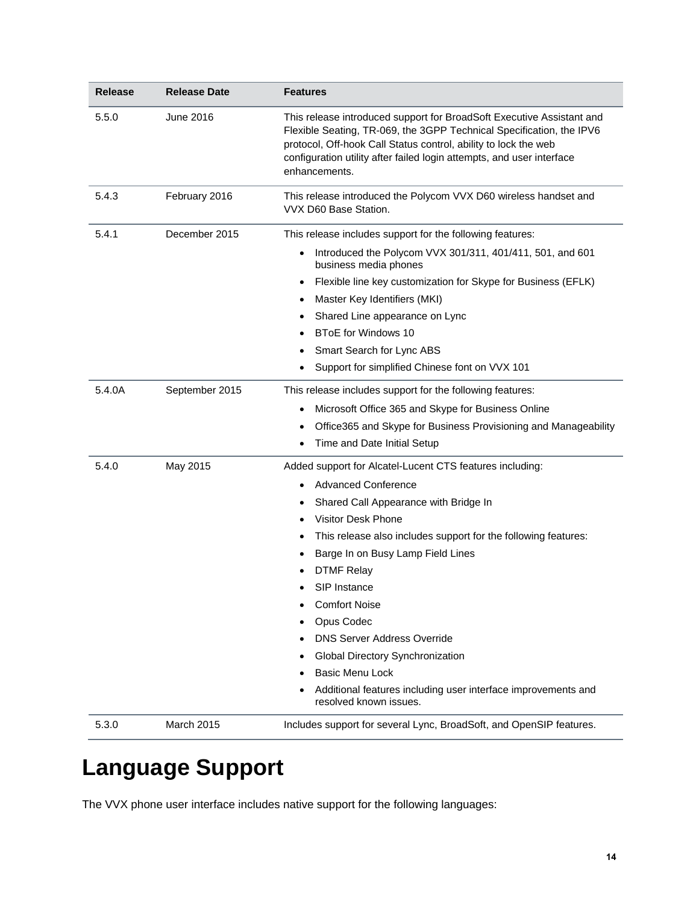| <b>Release</b> | <b>Release Date</b> | Features                                                                                                                                                                                                                                                                                                                                                                                                                                                                                                                                                |
|----------------|---------------------|---------------------------------------------------------------------------------------------------------------------------------------------------------------------------------------------------------------------------------------------------------------------------------------------------------------------------------------------------------------------------------------------------------------------------------------------------------------------------------------------------------------------------------------------------------|
| 5.5.0          | <b>June 2016</b>    | This release introduced support for BroadSoft Executive Assistant and<br>Flexible Seating, TR-069, the 3GPP Technical Specification, the IPV6<br>protocol, Off-hook Call Status control, ability to lock the web<br>configuration utility after failed login attempts, and user interface<br>enhancements.                                                                                                                                                                                                                                              |
| 5.4.3          | February 2016       | This release introduced the Polycom VVX D60 wireless handset and<br>VVX D60 Base Station.                                                                                                                                                                                                                                                                                                                                                                                                                                                               |
| 5.4.1          | December 2015       | This release includes support for the following features:<br>Introduced the Polycom VVX 301/311, 401/411, 501, and 601<br>$\bullet$<br>business media phones<br>Flexible line key customization for Skype for Business (EFLK)<br>$\bullet$<br>Master Key Identifiers (MKI)<br>$\bullet$<br>Shared Line appearance on Lync<br>$\bullet$<br><b>BToE for Windows 10</b><br>Smart Search for Lync ABS<br>Support for simplified Chinese font on VVX 101                                                                                                     |
| 5.4.0A         | September 2015      | This release includes support for the following features:<br>Microsoft Office 365 and Skype for Business Online<br>$\bullet$<br>Office365 and Skype for Business Provisioning and Manageability<br>٠<br>Time and Date Initial Setup                                                                                                                                                                                                                                                                                                                     |
| 5.4.0          | May 2015            | Added support for Alcatel-Lucent CTS features including:<br><b>Advanced Conference</b><br>Shared Call Appearance with Bridge In<br>٠<br><b>Visitor Desk Phone</b><br>This release also includes support for the following features:<br>Barge In on Busy Lamp Field Lines<br><b>DTMF Relay</b><br>SIP Instance<br><b>Comfort Noise</b><br>Opus Codec<br><b>DNS Server Address Override</b><br>Global Directory Synchronization<br><b>Basic Menu Lock</b><br>٠<br>Additional features including user interface improvements and<br>resolved known issues. |
| 5.3.0          | March 2015          | Includes support for several Lync, BroadSoft, and OpenSIP features.                                                                                                                                                                                                                                                                                                                                                                                                                                                                                     |

# <span id="page-13-0"></span>**Language Support**

The VVX phone user interface includes native support for the following languages: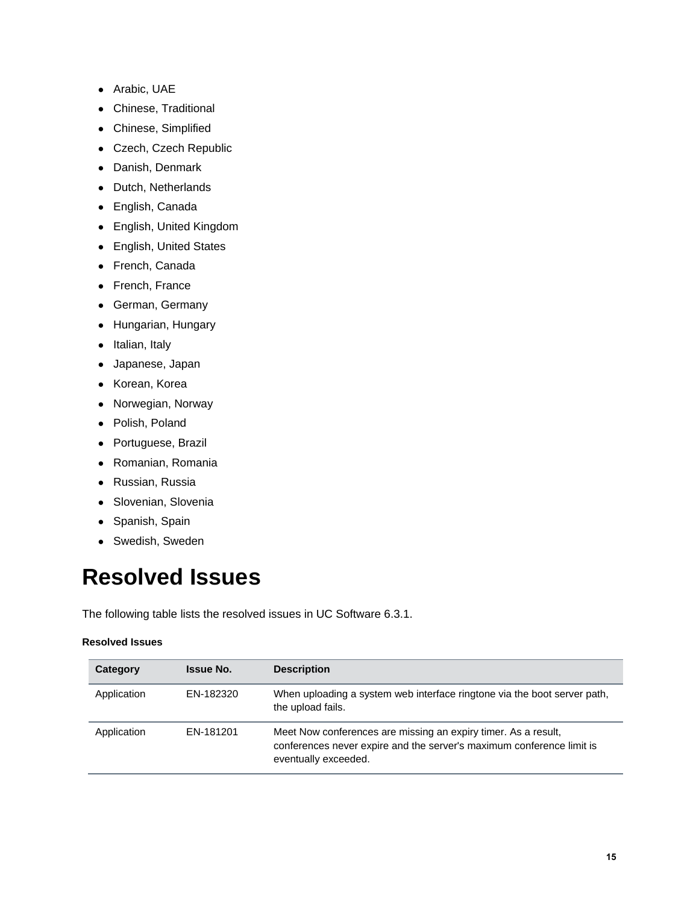- Arabic, UAE
- Chinese, Traditional
- Chinese, Simplified
- Czech, Czech Republic
- Danish, Denmark
- Dutch, Netherlands
- English, Canada
- English, United Kingdom
- English, United States
- French, Canada
- French, France
- German, Germany
- Hungarian, Hungary
- Italian, Italy
- Japanese, Japan
- Korean, Korea
- Norwegian, Norway
- Polish, Poland
- Portuguese, Brazil
- Romanian, Romania
- Russian, Russia
- Slovenian, Slovenia
- Spanish, Spain
- Swedish, Sweden

# <span id="page-14-0"></span>**Resolved Issues**

The following table lists the resolved issues in UC Software 6.3.1.

#### **Resolved Issues**

| Category    | <b>Issue No.</b> | <b>Description</b>                                                                                                                                              |
|-------------|------------------|-----------------------------------------------------------------------------------------------------------------------------------------------------------------|
| Application | EN-182320        | When uploading a system web interface ringtone via the boot server path.<br>the upload fails.                                                                   |
| Application | EN-181201        | Meet Now conferences are missing an expiry timer. As a result,<br>conferences never expire and the server's maximum conference limit is<br>eventually exceeded. |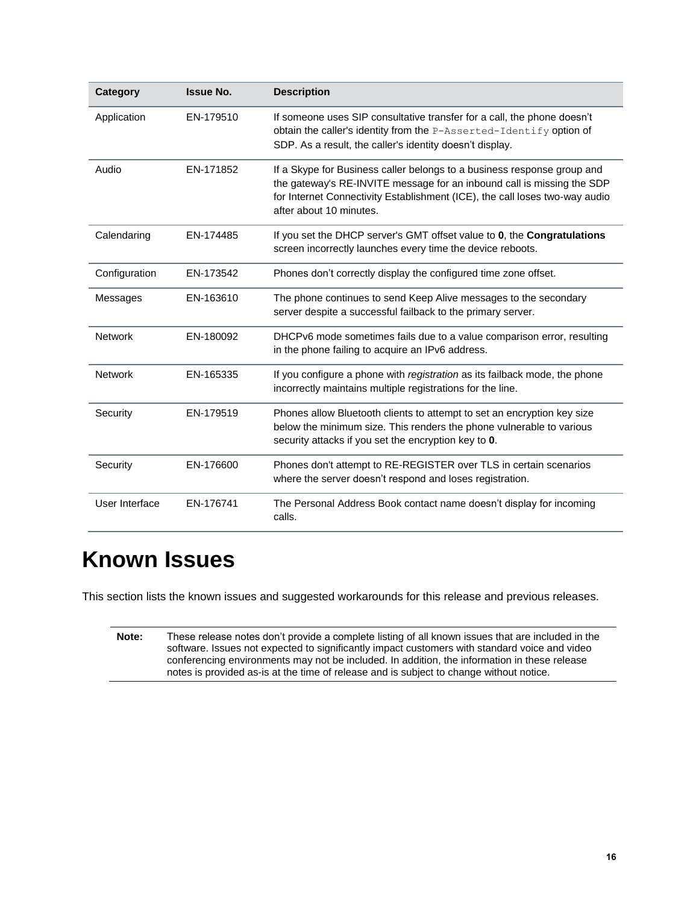| Category       | <b>Issue No.</b> | <b>Description</b>                                                                                                                                                                                                                                          |  |
|----------------|------------------|-------------------------------------------------------------------------------------------------------------------------------------------------------------------------------------------------------------------------------------------------------------|--|
| Application    | EN-179510        | If someone uses SIP consultative transfer for a call, the phone doesn't<br>obtain the caller's identity from the P-Asserted-Identify option of<br>SDP. As a result, the caller's identity doesn't display.                                                  |  |
| Audio          | EN-171852        | If a Skype for Business caller belongs to a business response group and<br>the gateway's RE-INVITE message for an inbound call is missing the SDP<br>for Internet Connectivity Establishment (ICE), the call loses two-way audio<br>after about 10 minutes. |  |
| Calendaring    | EN-174485        | If you set the DHCP server's GMT offset value to 0, the Congratulations<br>screen incorrectly launches every time the device reboots.                                                                                                                       |  |
| Configuration  | EN-173542        | Phones don't correctly display the configured time zone offset.                                                                                                                                                                                             |  |
| Messages       | EN-163610        | The phone continues to send Keep Alive messages to the secondary<br>server despite a successful failback to the primary server.                                                                                                                             |  |
| <b>Network</b> | EN-180092        | DHCPv6 mode sometimes fails due to a value comparison error, resulting<br>in the phone failing to acquire an IPv6 address.                                                                                                                                  |  |
| <b>Network</b> | EN-165335        | If you configure a phone with registration as its failback mode, the phone<br>incorrectly maintains multiple registrations for the line.                                                                                                                    |  |
| Security       | EN-179519        | Phones allow Bluetooth clients to attempt to set an encryption key size<br>below the minimum size. This renders the phone vulnerable to various<br>security attacks if you set the encryption key to 0.                                                     |  |
| Security       | EN-176600        | Phones don't attempt to RE-REGISTER over TLS in certain scenarios<br>where the server doesn't respond and loses registration.                                                                                                                               |  |
| User Interface | EN-176741        | The Personal Address Book contact name doesn't display for incoming<br>calls.                                                                                                                                                                               |  |

# <span id="page-15-0"></span>**Known Issues**

<span id="page-15-1"></span>This section lists the known issues and suggested workarounds for this release and previous releases.

| Note: | These release notes don't provide a complete listing of all known issues that are included in the |
|-------|---------------------------------------------------------------------------------------------------|
|       | software. Issues not expected to significantly impact customers with standard voice and video     |
|       | conferencing environments may not be included. In addition, the information in these release      |
|       | notes is provided as-is at the time of release and is subject to change without notice.           |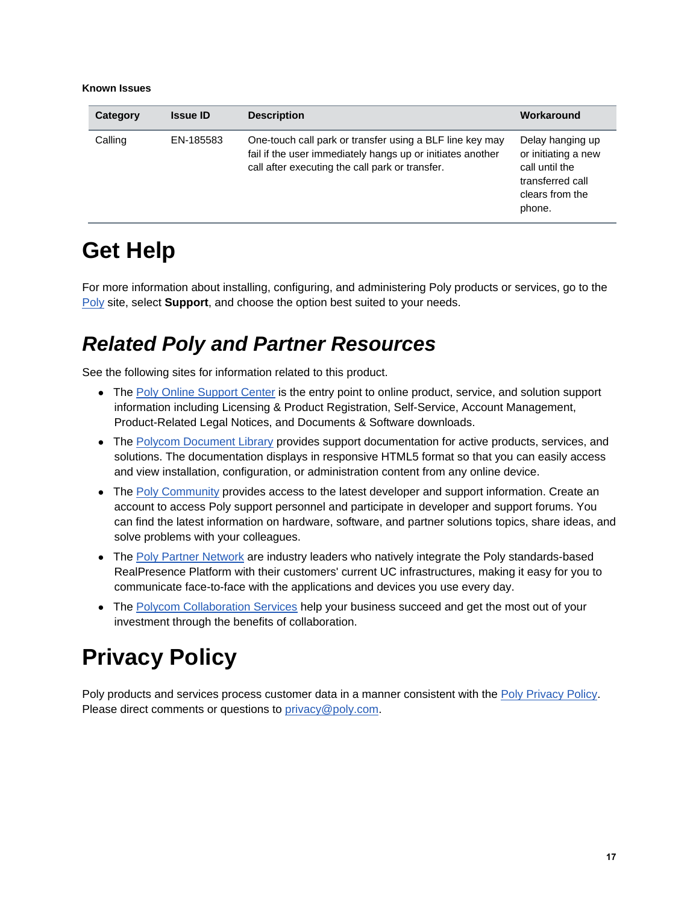#### **Known Issues**

| Category | <b>Issue ID</b> | <b>Description</b>                                                                                                                                                        | Workaround                                                                                                 |
|----------|-----------------|---------------------------------------------------------------------------------------------------------------------------------------------------------------------------|------------------------------------------------------------------------------------------------------------|
| Calling  | EN-185583       | One-touch call park or transfer using a BLF line key may<br>fail if the user immediately hangs up or initiates another<br>call after executing the call park or transfer. | Delay hanging up<br>or initiating a new<br>call until the<br>transferred call<br>clears from the<br>phone. |

## **Get Help**

For more information about installing, configuring, and administering Poly products or services, go to the [Poly](https://www.poly.com/us/en) site, select **Support**, and choose the option best suited to your needs.

### *Related Poly and Partner Resources*

See the following sites for information related to this product.

- The [Poly Online Support Center](https://support.polycom.com/content/support.html) is the entry point to online product, service, and solution support information including Licensing & Product Registration, Self-Service, Account Management, Product-Related Legal Notices, and Documents & Software downloads.
- The [Polycom Document Library](https://documents.polycom.com/) provides support documentation for active products, services, and solutions. The documentation displays in responsive HTML5 format so that you can easily access and view installation, configuration, or administration content from any online device.
- The [Poly Community](https://community.polycom.com/) provides access to the latest developer and support information. Create an account to access Poly support personnel and participate in developer and support forums. You can find the latest information on hardware, software, and partner solutions topics, share ideas, and solve problems with your colleagues.
- The [Poly Partner Network](https://www.polycom.com/partners.html) are industry leaders who natively integrate the Poly standards-based RealPresence Platform with their customers' current UC infrastructures, making it easy for you to communicate face-to-face with the applications and devices you use every day.
- The [Polycom Collaboration Services](https://www.polycom.com/content/www/en/collaboration-services.html) help your business succeed and get the most out of your investment through the benefits of collaboration.

# <span id="page-16-0"></span>**Privacy Policy**

<span id="page-16-1"></span>Poly products and services process customer data in a manner consistent with the [Poly Privacy Policy.](https://www.poly.com/us/en/legal/privacy) Please direct comments or questions to [privacy@poly.com.](mailto:privacy@poly.com)